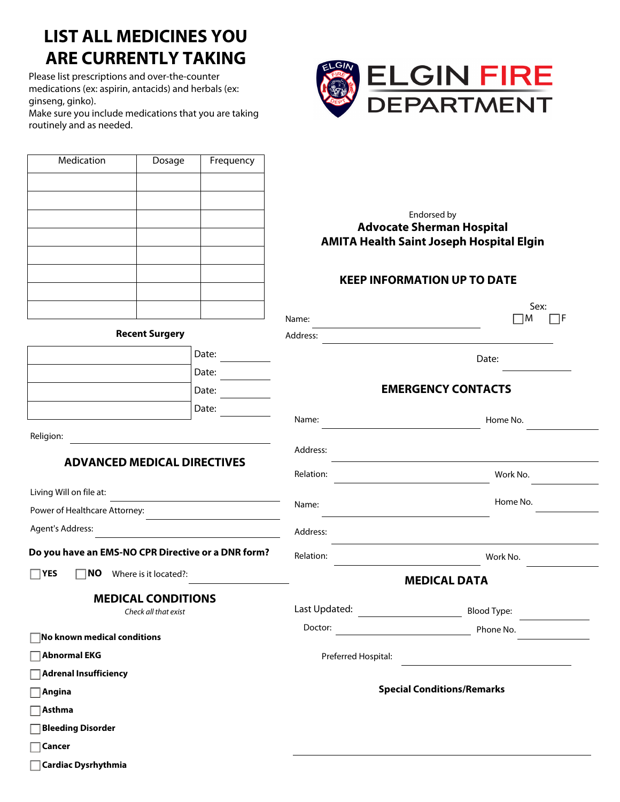## **LIST ALL MEDICINES YOU ARE CURRENTLY TAKING**

Please list prescriptions and over-the-counter medications (ex: aspirin, antacids) and herbals (ex: ginseng, ginko).

**Cancer**

**Cardiac Dysrhythmia**

Make sure you include medications that you are taking routinely and as needed.

Medication | Dosage | Frequency



|                                                    |       |                                   | Endorsed by                                                                         |
|----------------------------------------------------|-------|-----------------------------------|-------------------------------------------------------------------------------------|
|                                                    |       |                                   | <b>Advocate Sherman Hospital</b><br><b>AMITA Health Saint Joseph Hospital Elgin</b> |
|                                                    |       |                                   |                                                                                     |
|                                                    |       |                                   | <b>KEEP INFORMATION UP TO DATE</b>                                                  |
|                                                    |       |                                   | Sex:                                                                                |
| <b>Recent Surgery</b>                              |       | Name:<br>Address:                 | $\mathsf{M}$<br>IF                                                                  |
|                                                    | Date: |                                   |                                                                                     |
|                                                    | Date: |                                   | Date:                                                                               |
|                                                    | Date: |                                   | <b>EMERGENCY CONTACTS</b>                                                           |
|                                                    | Date: |                                   |                                                                                     |
|                                                    |       | Name:                             | Home No.                                                                            |
| Religion:                                          |       | Address:                          |                                                                                     |
| <b>ADVANCED MEDICAL DIRECTIVES</b>                 |       |                                   |                                                                                     |
|                                                    |       | Relation:                         | Work No.                                                                            |
| Living Will on file at:                            |       | Name:                             | Home No.                                                                            |
| Power of Healthcare Attorney:                      |       |                                   |                                                                                     |
| Agent's Address:                                   |       | Address:                          |                                                                                     |
| Do you have an EMS-NO CPR Directive or a DNR form? |       | Relation:                         | Work No.                                                                            |
| $\Box$ YES<br><b>NO</b><br>Where is it located?:   |       | <b>MEDICAL DATA</b>               |                                                                                     |
| <b>MEDICAL CONDITIONS</b>                          |       |                                   |                                                                                     |
| Check all that exist                               |       | Last Updated:                     | <b>Blood Type:</b>                                                                  |
| No known medical conditions                        |       | Doctor:                           | Phone No.                                                                           |
| Abnormal EKG                                       |       | Preferred Hospital:               |                                                                                     |
| Adrenal Insufficiency                              |       |                                   |                                                                                     |
| ∣Angina                                            |       | <b>Special Conditions/Remarks</b> |                                                                                     |
| $\exists$ Asthma                                   |       |                                   |                                                                                     |
| <b>Bleeding Disorder</b>                           |       |                                   |                                                                                     |
|                                                    |       |                                   |                                                                                     |